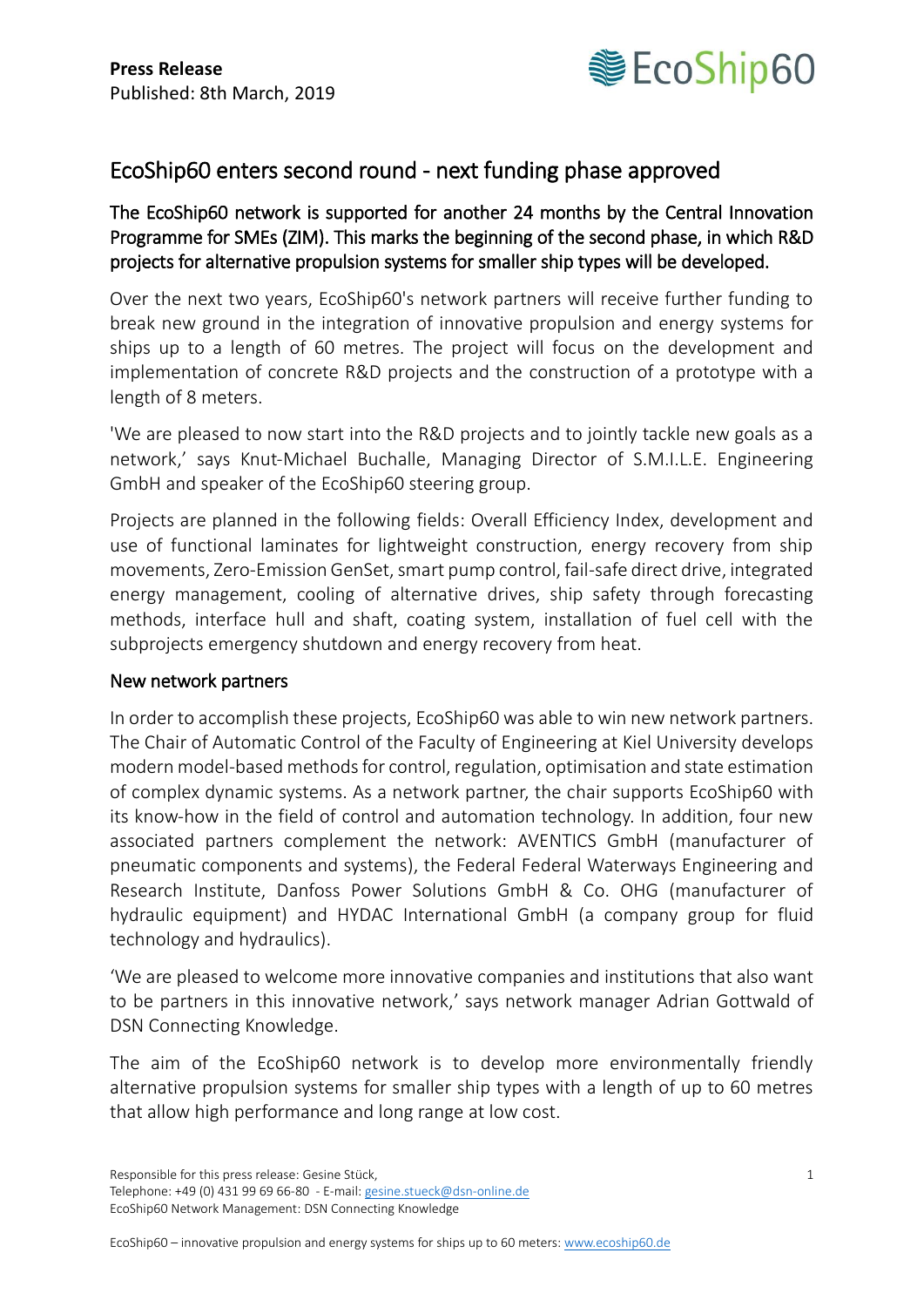

## EcoShip60 enters second round - next funding phase approved

The EcoShip60 network is supported for another 24 months by the Central Innovation Programme for SMEs (ZIM). This marks the beginning of the second phase, in which R&D projects for alternative propulsion systems for smaller ship types will be developed.

Over the next two years, EcoShip60's network partners will receive further funding to break new ground in the integration of innovative propulsion and energy systems for ships up to a length of 60 metres. The project will focus on the development and implementation of concrete R&D projects and the construction of a prototype with a length of 8 meters.

'We are pleased to now start into the R&D projects and to jointly tackle new goals as a network,' says Knut-Michael Buchalle, Managing Director of S.M.I.L.E. Engineering GmbH and speaker of the EcoShip60 steering group.

Projects are planned in the following fields: Overall Efficiency Index, development and use of functional laminates for lightweight construction, energy recovery from ship movements, Zero-Emission GenSet, smart pump control, fail-safe direct drive, integrated energy management, cooling of alternative drives, ship safety through forecasting methods, interface hull and shaft, coating system, installation of fuel cell with the subprojects emergency shutdown and energy recovery from heat.

## New network partners

In order to accomplish these projects, EcoShip60 was able to win new network partners. The Chair of Automatic Control of the Faculty of Engineering at Kiel University develops modern model-based methods for control, regulation, optimisation and state estimation of complex dynamic systems. As a network partner, the chair supports EcoShip60 with its know-how in the field of control and automation technology. In addition, four new associated partners complement the network: AVENTICS GmbH (manufacturer of pneumatic components and systems), the Federal Federal Waterways Engineering and Research Institute, Danfoss Power Solutions GmbH & Co. OHG (manufacturer of hydraulic equipment) and HYDAC International GmbH (a company group for fluid technology and hydraulics).

'We are pleased to welcome more innovative companies and institutions that also want to be partners in this innovative network,' says network manager Adrian Gottwald of DSN Connecting Knowledge.

The aim of the EcoShip60 network is to develop more environmentally friendly alternative propulsion systems for smaller ship types with a length of up to 60 metres that allow high performance and long range at low cost.

Responsible for this press release: Gesine Stück, 1

Telephone: +49 (0) 431 99 69 66-80 - E-mail[: gesine.stueck@dsn-online.de](mailto:gesine.stueck@dsn-online.de) EcoShip60 Network Management: DSN Connecting Knowledge